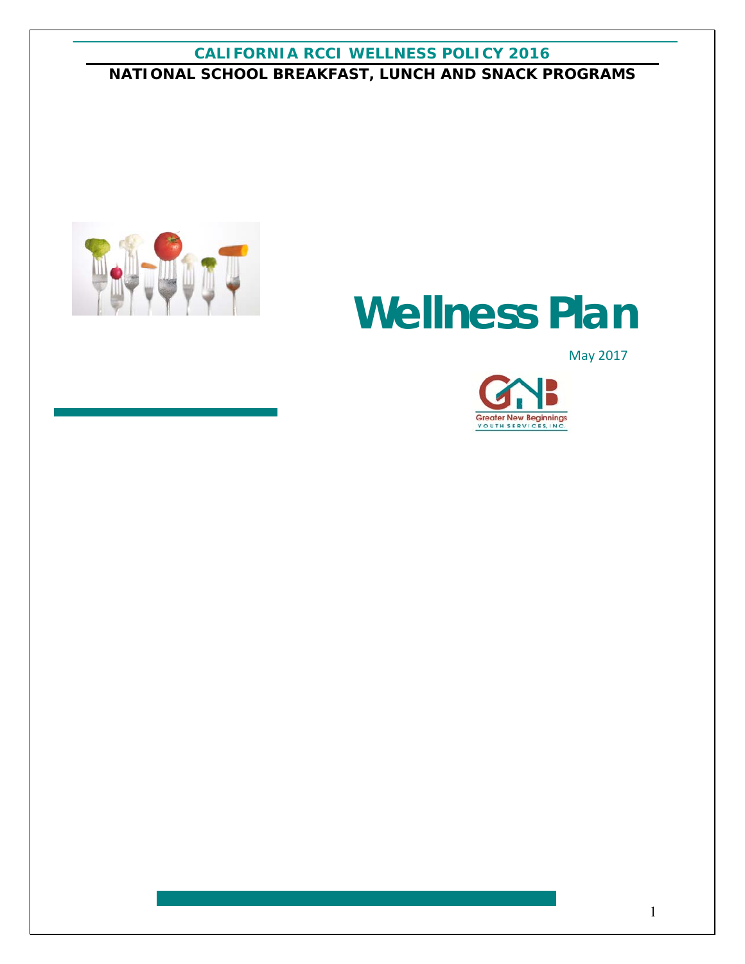# **CALIFORNIA RCCI WELLNESS POLICY 2016 NATIONAL SCHOOL BREAKFAST, LUNCH AND SNACK PROGRAMS**



# **Wellness Plan**

May 2017

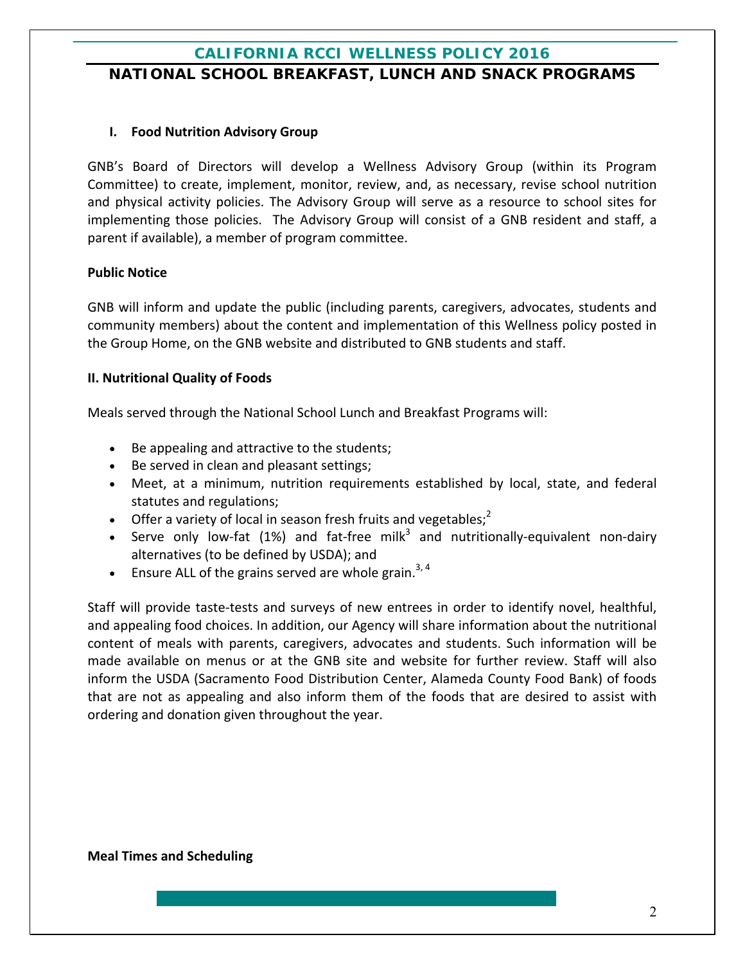## **NATIONAL SCHOOL BREAKFAST, LUNCH AND SNACK PROGRAMS**

## **I. Food Nutrition Advisory Group**

GNB's Board of Directors will develop a Wellness Advisory Group (within its Program Committee) to create, implement, monitor, review, and, as necessary, revise school nutrition and physical activity policies. The Advisory Group will serve as a resource to school sites for implementing those policies. The Advisory Group will consist of a GNB resident and staff, a parent if available), a member of program committee.

#### **Public Notice**

GNB will inform and update the public (including parents, caregivers, advocates, students and community members) about the content and implementation of this Wellness policy posted in the Group Home, on the GNB website and distributed to GNB students and staff.

#### **II. Nutritional Quality of Foods**

Meals served through the National School Lunch and Breakfast Programs will:

- Be appealing and attractive to the students;
- Be served in clean and pleasant settings;
- Meet, at a minimum, nutrition requirements established by local, state, and federal statutes and regulations;
- Offer a variety of local in season fresh fruits and vegetables;<sup>2</sup>
- Serve only low-fat (1%) and fat-free milk<sup>3</sup> and nutritionally-equivalent non-dairy alternatives (to be defined by USDA); and
- **Ensure ALL of the grains served are whole grain.**<sup>3, 4</sup>

Staff will provide taste-tests and surveys of new entrees in order to identify novel, healthful, and appealing food choices. In addition, our Agency will share information about the nutritional content of meals with parents, caregivers, advocates and students. Such information will be made available on menus or at the GNB site and website for further review. Staff will also inform the USDA (Sacramento Food Distribution Center, Alameda County Food Bank) of foods that are not as appealing and also inform them of the foods that are desired to assist with ordering and donation given throughout the year.

#### **Meal Times and Scheduling**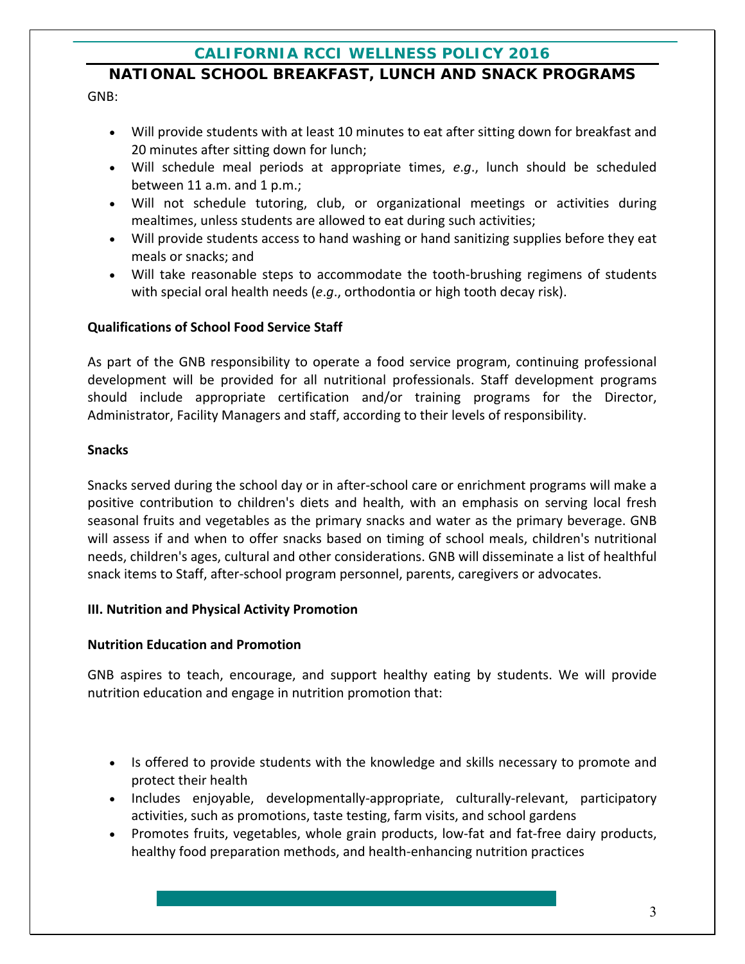## **NATIONAL SCHOOL BREAKFAST, LUNCH AND SNACK PROGRAMS**

GNB:

- Will provide students with at least 10 minutes to eat after sitting down for breakfast and 20 minutes after sitting down for lunch;
- Will schedule meal periods at appropriate times, *e*.*g*., lunch should be scheduled between 11 a.m. and 1 p.m.;
- Will not schedule tutoring, club, or organizational meetings or activities during mealtimes, unless students are allowed to eat during such activities;
- Will provide students access to hand washing or hand sanitizing supplies before they eat meals or snacks; and
- Will take reasonable steps to accommodate the tooth-brushing regimens of students with special oral health needs (*e*.*g*., orthodontia or high tooth decay risk).

## **Qualifications of School Food Service Staff**

As part of the GNB responsibility to operate a food service program, continuing professional development will be provided for all nutritional professionals. Staff development programs should include appropriate certification and/or training programs for the Director, Administrator, Facility Managers and staff, according to their levels of responsibility.

## **Snacks**

Snacks served during the school day or in after‐school care or enrichment programs will make a positive contribution to children's diets and health, with an emphasis on serving local fresh seasonal fruits and vegetables as the primary snacks and water as the primary beverage. GNB will assess if and when to offer snacks based on timing of school meals, children's nutritional needs, children's ages, cultural and other considerations. GNB will disseminate a list of healthful snack items to Staff, after‐school program personnel, parents, caregivers or advocates.

## **III. Nutrition and Physical Activity Promotion**

## **Nutrition Education and Promotion**

GNB aspires to teach, encourage, and support healthy eating by students. We will provide nutrition education and engage in nutrition promotion that:

- Is offered to provide students with the knowledge and skills necessary to promote and protect their health
- Includes enjoyable, developmentally-appropriate, culturally-relevant, participatory activities, such as promotions, taste testing, farm visits, and school gardens
- Promotes fruits, vegetables, whole grain products, low-fat and fat-free dairy products, healthy food preparation methods, and health‐enhancing nutrition practices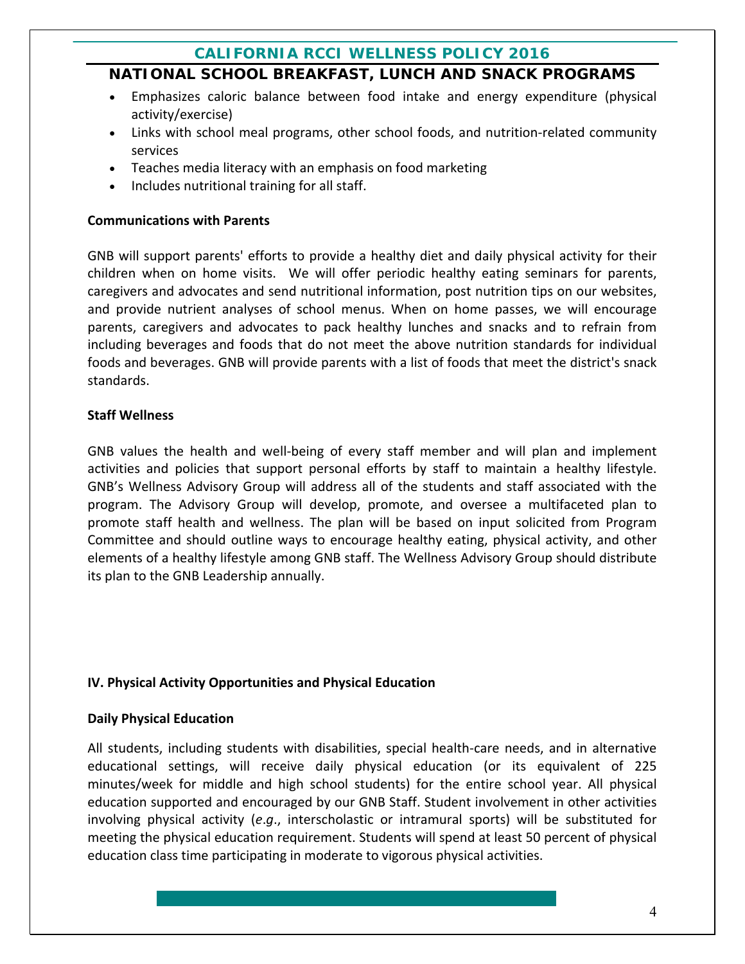## **NATIONAL SCHOOL BREAKFAST, LUNCH AND SNACK PROGRAMS**

- Emphasizes caloric balance between food intake and energy expenditure (physical activity/exercise)
- Links with school meal programs, other school foods, and nutrition-related community services
- Teaches media literacy with an emphasis on food marketing
- Includes nutritional training for all staff.

## **Communications with Parents**

GNB will support parents' efforts to provide a healthy diet and daily physical activity for their children when on home visits. We will offer periodic healthy eating seminars for parents, caregivers and advocates and send nutritional information, post nutrition tips on our websites, and provide nutrient analyses of school menus. When on home passes, we will encourage parents, caregivers and advocates to pack healthy lunches and snacks and to refrain from including beverages and foods that do not meet the above nutrition standards for individual foods and beverages. GNB will provide parents with a list of foods that meet the district's snack standards.

## **Staff Wellness**

GNB values the health and well-being of every staff member and will plan and implement activities and policies that support personal efforts by staff to maintain a healthy lifestyle. GNB's Wellness Advisory Group will address all of the students and staff associated with the program. The Advisory Group will develop, promote, and oversee a multifaceted plan to promote staff health and wellness. The plan will be based on input solicited from Program Committee and should outline ways to encourage healthy eating, physical activity, and other elements of a healthy lifestyle among GNB staff. The Wellness Advisory Group should distribute its plan to the GNB Leadership annually.

## **IV. Physical Activity Opportunities and Physical Education**

#### **Daily Physical Education**

All students, including students with disabilities, special health‐care needs, and in alternative educational settings, will receive daily physical education (or its equivalent of 225 minutes/week for middle and high school students) for the entire school year. All physical education supported and encouraged by our GNB Staff. Student involvement in other activities involving physical activity (*e*.*g*., interscholastic or intramural sports) will be substituted for meeting the physical education requirement. Students will spend at least 50 percent of physical education class time participating in moderate to vigorous physical activities.